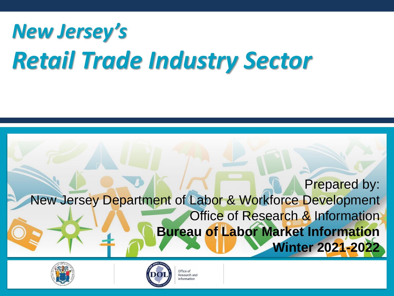# *New Jersey's Retail Trade Industry Sector*







Office of Research and nformation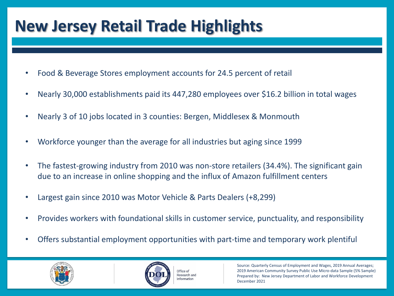# **New Jersey Retail Trade Highlights**

- Food & Beverage Stores employment accounts for 24.5 percent of retail
- Nearly 30,000 establishments paid its 447,280 employees over \$16.2 billion in total wages
- Nearly 3 of 10 jobs located in 3 counties: Bergen, Middlesex & Monmouth
- Workforce younger than the average for all industries but aging since 1999
- The fastest-growing industry from 2010 was non-store retailers (34.4%). The significant gain due to an increase in online shopping and the influx of Amazon fulfillment centers
- Largest gain since 2010 was Motor Vehicle & Parts Dealers (+8,299)
- Provides workers with foundational skills in customer service, punctuality, and responsibility
- Offers substantial employment opportunities with part-time and temporary work plentiful





Office of Research and nformation

Source: Quarterly Census of Employment and Wages, 2019 Annual Averages; 2019 American Community Survey Public Use Micro-data Sample (5% Sample) Prepared by: New Jersey Department of Labor and Workforce Development December 2021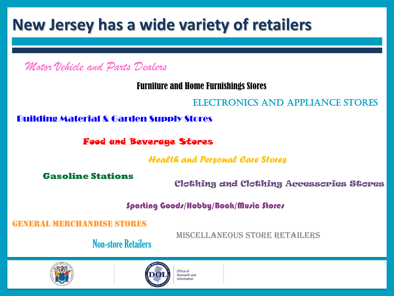### **New Jersey has a wide variety of retailers**

*Motor Vehicle and Parts Dealers*

Furniture and Home Furnishings Stores

### Electronics and Appliance Stores

Building Material & Garden Supply Stores

Food and Beverage Stores

*Health and Personal Care Stores*

**Gasoline Stations**

Clothing and Clothing Accessories Stores

Sporting Goods/Hobby/Book/Music Stores

AL MERCHANDISE STORES

Miscellaneous Store Retailers

Non-store Retailers





 $Office$  of Research and nformation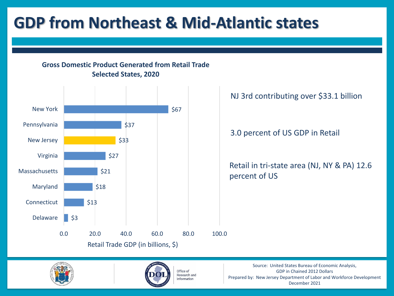# **GDP from Northeast & Mid-Atlantic states**

**Gross Domestic Product Generated from Retail Trade Selected States, 2020**







Office of **Research and** Information

Source: United States Bureau of Economic Analysis, GDP in Chained 2012 Dollars Prepared by: New Jersey Department of Labor and Workforce Development December 2021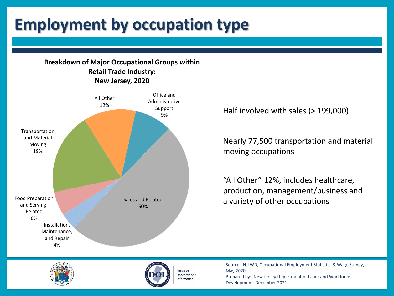# **Employment by occupation type**

#### **Breakdown of Major Occupational Groups within Retail Trade Industry: New Jersey, 2020**



Half involved with sales (> 199,000)

Nearly 77,500 transportation and material moving occupations

"All Other" 12%, includes healthcare, production, management/business and a variety of other occupations





Office of **Research and** Information

Source: NJLWD, Occupational Employment Statistics & Wage Survey, May 2020 Prepared by: New Jersey Department of Labor and Workforce Development, December 2021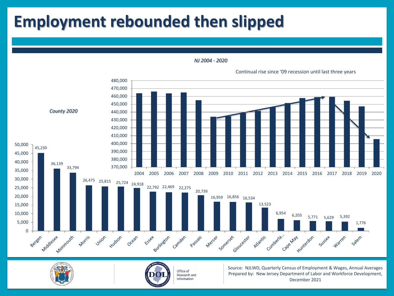# **Employment rebounded then slipped**



*NJ 2004 - 2020*





Office of Research and Information

Source: NJLWD, Quarterly Census of Employment & Wages, Annual Averages Prepared by: New Jersey Department of Labor and Workforce Development, December 2021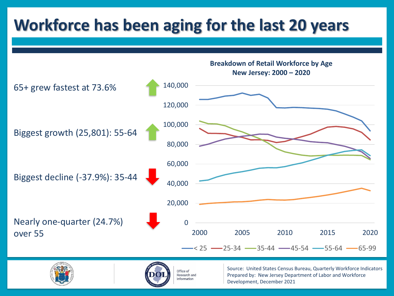# **Workforce has been aging for the last 20 years**